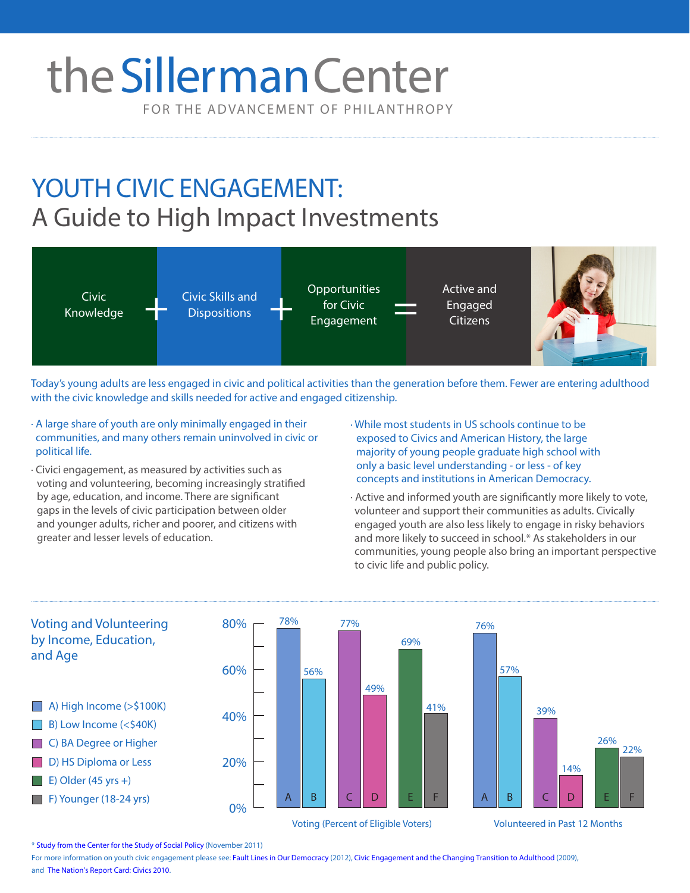# FOR THE ADVANCEMENT OF PHILANTHROPY the Sillerman Center

## YOUTH CIVIC ENGAGEMENT: A Guide to High Impact Investments



Today's young adults are less engaged in civic and political activities than the generation before them. Fewer are entering adulthood with the civic knowledge and skills needed for active and engaged citizenship.

- · A large share of youth are only minimally engaged in their communities, and many others remain uninvolved in civic or political life.
- · Civici engagement, as measured by activities such as voting and volunteering, becoming increasingly stratified by age, education, and income. There are significant gaps in the levels of civic participation between older and younger adults, richer and poorer, and citizens with greater and lesser levels of education.
- · While most students in US schools continue to be exposed to Civics and American History, the large majority of young people graduate high school with only a basic level understanding - or less - of key concepts and institutions in American Democracy.
- · Active and informed youth are significantly more likely to vote, volunteer and support their communities as adults. Civically engaged youth are also less likely to engage in risky behaviors and more likely to succeed in school.\* As stakeholders in our communities, young people also bring an important perspective to civic life and public policy.



\* [Study from the Center for the Study of Social Policy](http://www.cssp.org/media-center/press-releases/cssp-releases-report-on-youth-civic-engagement) (November 2011)

For more information on youth civic engagement please see: [Fault Lines in Our Democracy](https://www.ets.org/s/research/19386/rsc/pdf/18719_fault_lines_report.pdf) (2012), [Civic Engagement and the Changing Transition to Adulthood](http://www.civicyouth.org/PopUps/ChangingTransition.pdf) (2009), [and The Nation's Report Card: Civics](The%20Nation%E2%80%99s%20Report%20Card:%20Civics%202010) 2010.